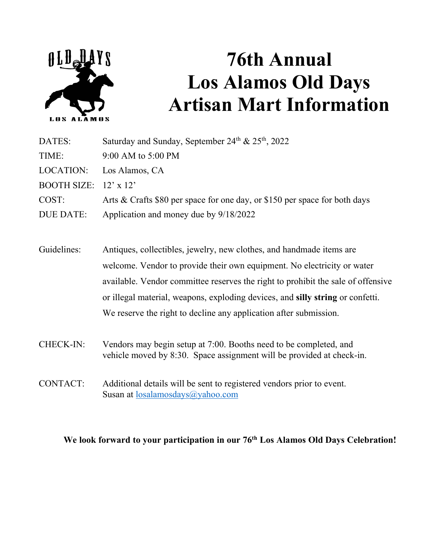

## **76th Annual Los Alamos Old Days Artisan Mart Information**

| DATES:                       | Saturday and Sunday, September 24th & 25th, 2022                           |
|------------------------------|----------------------------------------------------------------------------|
| TIME:                        | $9:00$ AM to $5:00$ PM                                                     |
|                              | LOCATION: Los Alamos, CA                                                   |
| BOOTH SIZE: $12' \times 12'$ |                                                                            |
| COST:                        | Arts & Crafts \$80 per space for one day, or \$150 per space for both days |
| DUE DATE:                    | Application and money due by 9/18/2022                                     |

- Guidelines: Antiques, collectibles, jewelry, new clothes, and handmade items are welcome. Vendor to provide their own equipment. No electricity or water available. Vendor committee reserves the right to prohibit the sale of offensive or illegal material, weapons, exploding devices, and **silly string** or confetti. We reserve the right to decline any application after submission.
- CHECK-IN: Vendors may begin setup at 7:00. Booths need to be completed, and vehicle moved by 8:30. Space assignment will be provided at check-in.
- CONTACT: Additional details will be sent to registered vendors prior to event. Susan at losalamosdays@yahoo.com

## **We look forward to your participation in our 76th Los Alamos Old Days Celebration!**